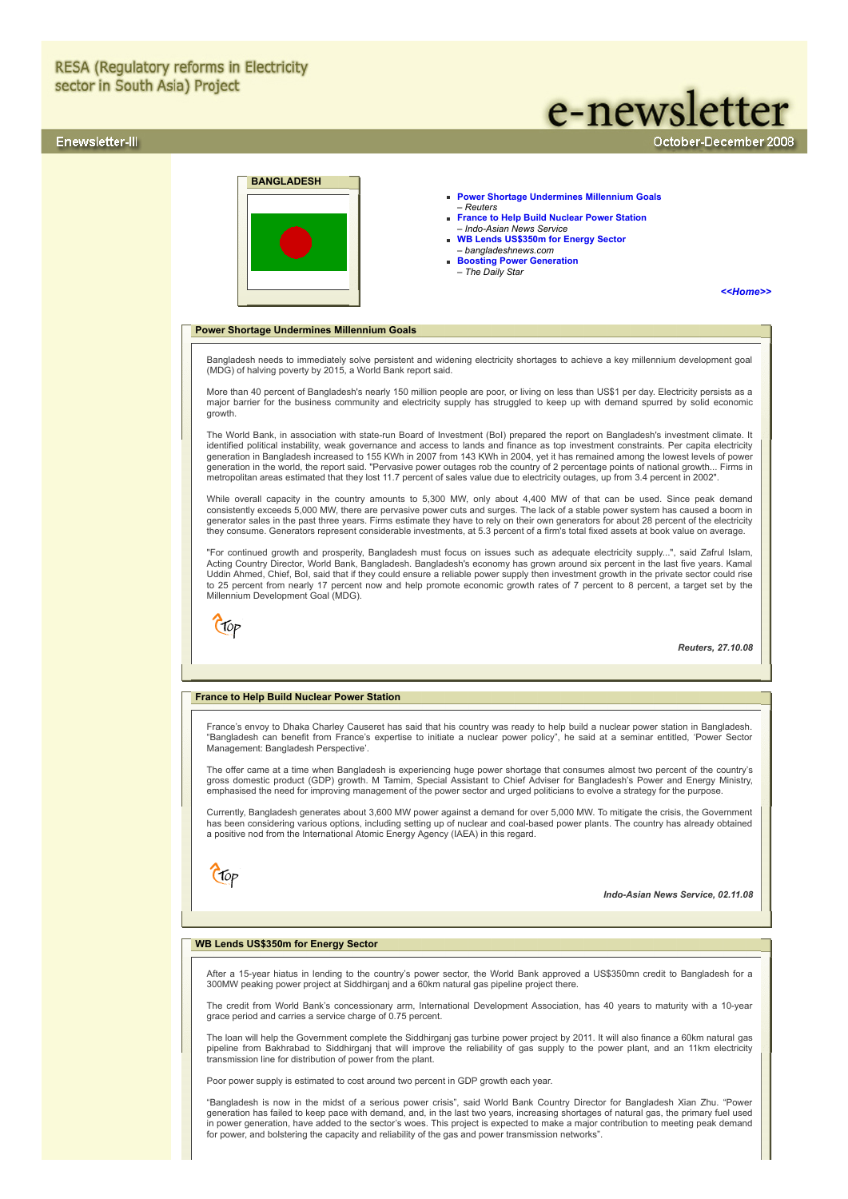# Enewsletter-III

# e-newsletter

October-December 2008



### **[Power Shortage Undermines Millennium Goals](#page-0-0)**  – *Reuters*

- **[France to Help Build Nuclear Power Station](#page-0-1)** *– Indo-Asian News Service*
- **[WB Lends US\\$350m for Energy Sector](#page-0-2)** – *bangladeshnews.com*
- **[Boosting Power Generation](#page-1-0)** *The Daily Star*

### *[<<Home>>](file:///D:/KSH/Websites/RESA/RESA-Enews-III.htm)*

### <span id="page-0-0"></span>**Power Shortage Undermines Millennium Goals**

Bangladesh needs to immediately solve persistent and widening electricity shortages to achieve a key millennium development goal (MDG) of halving poverty by 2015, a World Bank report said.

More than 40 percent of Bangladesh's nearly 150 million people are poor, or living on less than US\$1 per day. Electricity persists as a major barrier for the business community and electricity supply has struggled to keep up with demand spurred by solid economic growth.

The World Bank, in association with state-run Board of Investment (BoI) prepared the report on Bangladesh's investment climate. It identified political instability, weak governance and access to lands and finance as top investment constraints. Per capita electricity generation in Bangladesh increased to 155 KWh in 2007 from 143 KWh in 2004, yet it has remained among the lowest levels of power generation in the world, the report said. "Pervasive power outages rob the country of 2 percentage points of national growth... Firms in metropolitan areas estimated that they lost 11.7 percent of sales value due to electricity outages, up from 3.4 percent in 2002".

While overall capacity in the country amounts to 5,300 MW, only about 4,400 MW of that can be used. Since peak demand consistently exceeds 5,000 MW, there are pervasive power cuts and surges. The lack of a stable power system has caused a boom in generator sales in the past three years. Firms estimate they have to rely on their own generators for about 28 percent of the electricity<br>they consume. Generators represent considerable investments, at 5.3 percent of a fir

"For continued growth and prosperity, Bangladesh must focus on issues such as adequate electricity supply...", said Zafrul Islam,<br>Acting Country Director, World Bank, Bangladesh. Bangladesh's economy has grown around six p Uddin Ahmed, Chief, BoI, said that if they could ensure a reliable power supply then investment growth in the private sector could rise to 25 percent from nearly 17 percent now and help promote economic growth rates of 7 percent to 8 percent, a target set by the Millennium Development Goal (MDG).

Ctop

*Reuters, 27.10.08*

### <span id="page-0-1"></span>**France to Help Build Nuclear Power Station**

France's envoy to Dhaka Charley Causeret has said that his country was ready to help build a nuclear power station in Bangladesh. "Bangladesh can benefit from France's expertise to initiate a nuclear power policy", he said at a seminar entitled, 'Power Sector Management: Bangladesh Perspective'.

The offer came at a time when Bangladesh is experiencing huge power shortage that consumes almost two percent of the country's<br>gross domestic product (GDP) growth. M Tamim, Special Assistant to Chief Adviser for Bangladesh emphasised the need for improving management of the power sector and urged politicians to evolve a strategy for the purpose.

Currently, Bangladesh generates about 3,600 MW power against a demand for over 5,000 MW. To mitigate the crisis, the Government has been considering various options, including setting up of nuclear and coal-based power plants. The country has already obtained a positive nod from the International Atomic Energy Agency (IAEA) in this regard.

Ctop

*Indo-Asian News Service, 02.11.08*

# <span id="page-0-2"></span>**WB Lends US\$350m for Energy Sector**

After a 15-year hiatus in lending to the country's power sector, the World Bank approved a US\$350mn credit to Bangladesh for a 300MW peaking power project at Siddhirganj and a 60km natural gas pipeline project there.

The credit from World Bank's concessionary arm, International Development Association, has 40 years to maturity with a 10-year grace period and carries a service charge of 0.75 percent.

The loan will help the Government complete the Siddhirganj gas turbine power project by 2011. It will also finance a 60km natural gas pipeline from Bakhrabad to Siddhirganj that will improve the reliability of gas supply to the power plant, and an 11km electricity transmission line for distribution of power from the plant.

Poor power supply is estimated to cost around two percent in GDP growth each year.

"Bangladesh is now in the midst of a serious power crisis", said World Bank Country Director for Bangladesh Xian Zhu. "Power generation has failed to keep pace with demand, and, in the last two years, increasing shortages of natural gas, the primary fuel used<br>in power generation, have added to the sector's woes. This project is expected to make for power, and bolstering the capacity and reliability of the gas and power transmission networks"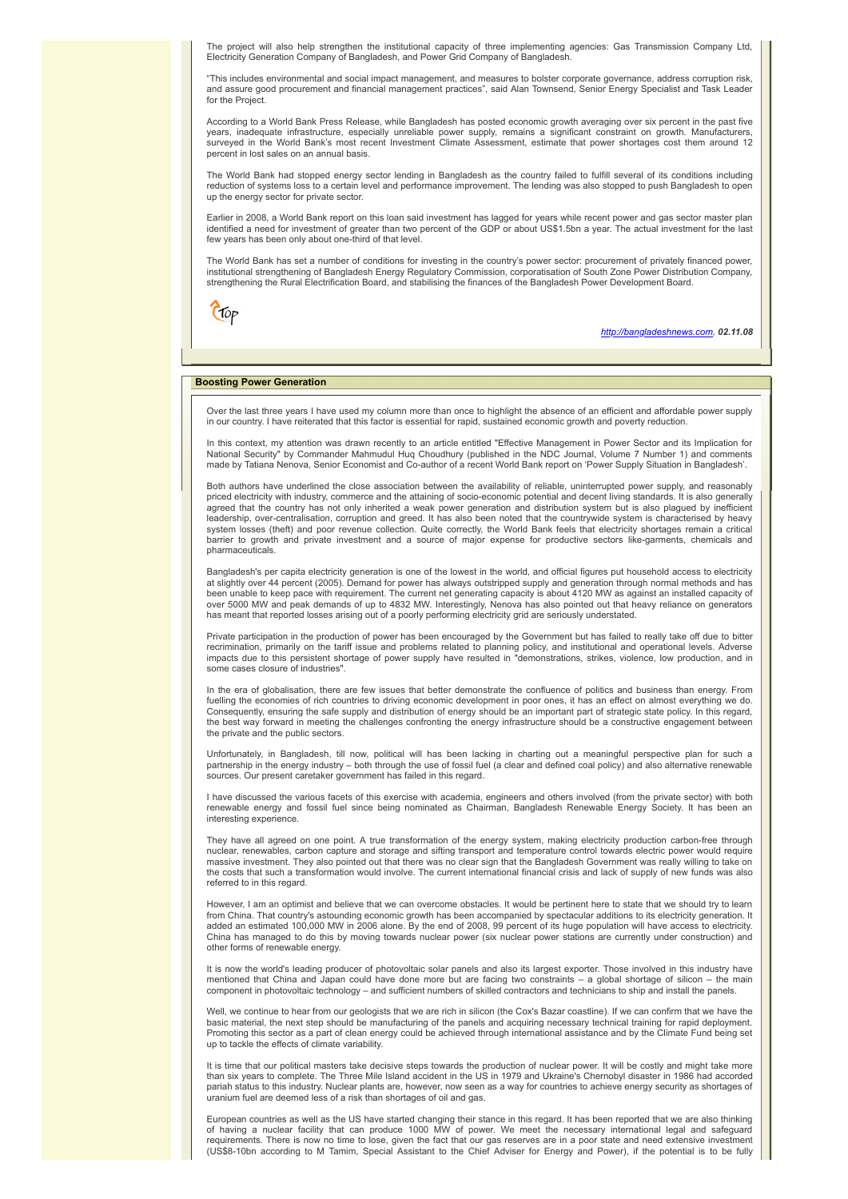The project will also help strengthen the institutional capacity of three implementing agencies: Gas Transmission Company Ltd, Electricity Generation Company of Bangladesh, and Power Grid Company of Bangladesh.

"This includes environmental and social impact management, and measures to bolster corporate governance, address corruption risk, and assure good procurement and financial management practices", said Alan Townsend, Senior Energy Specialist and Task Leader for the Project.

According to a World Bank Press Release, while Bangladesh has posted economic growth averaging over six percent in the past five years, inadequate infrastructure, especially unreliable power supply, remains a significant constraint on growth. Manufacturers, surveyed in the World Bank's most recent Investment Climate Assessment, estimate that power shortages cost them around 12 percent in lost sales on an annual basis.

The World Bank had stopped energy sector lending in Bangladesh as the country failed to fulfill several of its conditions including reduction of systems loss to a certain level and performance improvement. The lending was also stopped to push Bangladesh to open up the energy sector for private sector.

Earlier in 2008, a World Bank report on this loan said investment has lagged for years while recent power and gas sector master plan<br>identified a need for investment of greater than two percent of the GDP or about US\$1.5bn few years has been only about one-third of that level.

The World Bank has set a number of conditions for investing in the country's power sector: procurement of privately financed power,<br>institutional strengthening of Bangladesh Energy Regulatory Commission, corporatisation of strengthening the Rural Electrification Board, and stabilising the finances of the Bangladesh Power Development Board.

 $C$ fop

*[http://bangladeshnews.com,](http://bangladeshnews.com/) 02.11.08*

### <span id="page-1-0"></span>**Boosting Power Generation**

Over the last three years I have used my column more than once to highlight the absence of an efficient and affordable power supply in our country. I have reiterated that this factor is essential for rapid, sustained economic growth and poverty reduction.

In this context, my attention was drawn recently to an article entitled "Effective Management in Power Sector and its Implication for<br>National Security" by Commander Mahmudul Huq Choudhury (published in the NDC Journal, Vo made by Tatiana Nenova, Senior Economist and Co-author of a recent World Bank report on 'Power Supply Situation in Bangladesh'.

Both authors have underlined the close association between the availability of reliable, uninterrupted power supply, and reasonably priced electricity with industry, commerce and the attaining of socio-economic potential and decent living standards. It is also generally<br>agreed that the country has not only inherited a weak power generation and distribu leadership, over-centralisation, corruption and greed. It has also been noted that the countrywide system is characterised by heavy system losses (theft) and poor revenue collection. Quite correctly, the World Bank feels that electricity shortages remain a critical<br>barrier to growth and private investment and a source of major expense for productive se pharmaceuticals.

Bangladesh's per capita electricity generation is one of the lowest in the world, and official figures put household access to electricity at slightly over 44 percent (2005). Demand for power has always outstripped supply and generation through normal methods and has been unable to keep pace with requirement. The current net generating capacity is about 4120 MW as against an installed capacity of<br>over 5000 MW and peak demands of up to 4832 MW. Interestingly, Nenova has also pointed out has meant that reported losses arising out of a poorly performing electricity grid are seriously understated.

Private participation in the production of power has been encouraged by the Government but has failed to really take off due to bitter recrimination, primarily on the tariff issue and problems related to planning policy, and institutional and operational levels. Adverse impacts due to this persistent shortage of power supply have resulted in "demonstrations, strikes, violence, low production, and in some cases closure of industries".

In the era of globalisation, there are few issues that better demonstrate the confluence of politics and business than energy. From<br>fuelling the economies of rich countries to driving economic development in poor ones, it Consequently, ensuring the safe supply and distribution of energy should be an important part of strategic state policy. In this regard, the best way forward in meeting the challenges confronting the energy infrastructure should be a constructive engagement between the private and the public sectors.

Unfortunately, in Bangladesh, till now, political will has been lacking in charting out a meaningful perspective plan for such a partnership in the energy industry – both through the use of fossil fuel (a clear and defined coal policy) and also alternative renewable<br>sources. Our present caretaker government has failed in this regard.

I have discussed the various facets of this exercise with academia, engineers and others involved (from the private sector) with both renewable energy and fossil fuel since being nominated as Chairman, Bangladesh Renewable Energy Society. It has been an interesting experience.

They have all agreed on one point. A true transformation of the energy system, making electricity production carbon-free through nuclear, renewables, carbon capture and storage and sifting transport and temperature control towards electric power would require massive investment. They also pointed out that there was no clear sign that the Bangladesh Government was really willing to take on the costs that such a transformation would involve. The current international financial crisis and lack of supply of new funds was also referred to in this regard.

However, I am an optimist and believe that we can overcome obstacles. It would be pertinent here to state that we should try to learn from China. That country's astounding economic growth has been accompanied by spectacular additions to its electricity generation. It added an estimated 100,000 MW in 2006 alone. By the end of 2008, 99 percent of its huge population will have access to electricity. China has managed to do this by moving towards nuclear power (six nuclear power stations are currently under construction) and other forms of renewable energy.

It is now the world's leading producer of photovoltaic solar panels and also its largest exporter. Those involved in this industry have<br>mentioned that China and Japan could have done more but are facing two constraints – a component in photovoltaic technology – and sufficient numbers of skilled contractors and technicians to ship and install the panels.

Well, we continue to hear from our geologists that we are rich in silicon (the Cox's Bazar coastline). If we can confirm that we have the basic material, the next step should be manufacturing of the panels and acquiring necessary technical training for rapid deployment. Promoting this sector as a part of clean energy could be achieved through international assistance and by the Climate Fund being set up to tackle the effects of climate variability.

It is time that our political masters take decisive steps towards the production of nuclear power. It will be costly and might take more<br>than six years to complete. The Three Mile Island accident in the US in 1979 and Ukra pariah status to this industry. Nuclear plants are, however, now seen as a way for countries to achieve energy security as shortages of uranium fuel are deemed less of a risk than shortages of oil and gas.

European countries as well as the US have started changing their stance in this regard. It has been reported that we are also thinking of having a nuclear facility that can produce 1000 MW of power. We meet the necessary international legal and safeguard<br>requirements. There is now no time to lose, given the fact that our gas reserves are in a poor state a (US\$8-10bn according to M Tamim, Special Assistant to the Chief Adviser for Energy and Power), if the potential is to be fully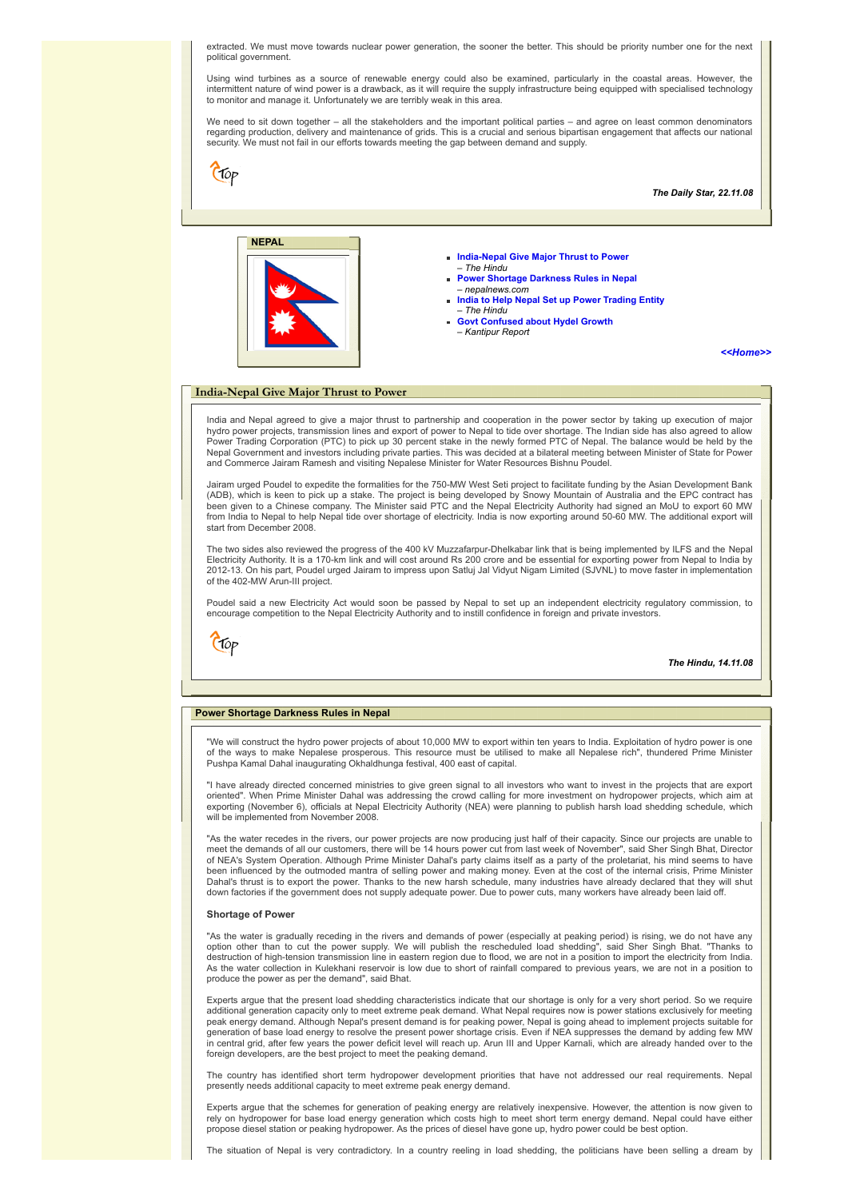extracted. We must move towards nuclear power generation, the sooner the better. This should be priority number one for the next political government.

Using wind turbines as a source of renewable energy could also be examined, particularly in the coastal areas. However, the intermittent nature of wind power is a drawback, as it will require the supply infrastructure being equipped with specialised technology to monitor and manage it. Unfortunately we are terribly weak in this area.

We need to sit down together – all the stakeholders and the important political parties – and agree on least common denominators regarding production, delivery and maintenance of grids. This is a crucial and serious bipartisan engagement that affects our national security. We must not fail in our efforts towards meeting the gap between demand and supply.

Clop *The Daily Star, 22.11.08* **NEPAL [India-Nepal Give Major Thrust to Power](#page-2-0)**  – *The Hindu* **[Power Shortage Darkness Rules in Nepal](#page-2-1)** – *nepalnews.com* **[India to Help Nepal Set up Power Trading Entity](#page-3-0)** – *The Hindu* **[Govt Confused about Hydel Growth](#page-3-1)** – *Kantipur Report [<<Home>>](file:///D:/KSH/Websites/RESA/RESA-Enews-III.htm)* **India-Nepal Give Major Thrust to Power**

<span id="page-2-0"></span>India and Nepal agreed to give a major thrust to partnership and cooperation in the power sector by taking up execution of major hydro power projects, transmission lines and export of power to Nepal to tide over shortage. The Indian side has also agreed to allow Power Trading Corporation (PTC) to pick up 30 percent stake in the newly formed PTC of Nepal. The balance would be held by the<br>Nepal Government and investors including private parties. This was decided at a bilateral meeti and Commerce Jairam Ramesh and visiting Nepalese Minister for Water Resources Bishnu Poudel.

Jairam urged Poudel to expedite the formalities for the 750-MW West Seti project to facilitate funding by the Asian Development Bank (ADB), which is keen to pick up a stake. The project is being developed by Snowy Mountain of Australia and the EPC contract has been given to a Chinese company. The Minister said PTC and the Nepal Electricity Authority had signed an MoU to export 60 MW from India to Nepal to help Nepal tide over shortage of electricity. India is now exporting around 50-60 MW. The additional export will start from December 2008.

The two sides also reviewed the progress of the 400 kV Muzzafarpur-Dhelkabar link that is being implemented by ILFS and the Nepal Electricity Authority. It is a 170-km link and will cost around Rs 200 crore and be essential for exporting power from Nepal to India by 2012-13. On his part, Poudel urged Jairam to impress upon Satluj Jal Vidyut Nigam Limited (SJVNL) to move faster in implementation of the 402-MW Arun-III project.

Poudel said a new Electricity Act would soon be passed by Nepal to set up an independent electricity regulatory commission, to encourage competition to the Nepal Electricity Authority and to instill confidence in foreign and private investors.

 $C$ fop

*The Hindu, 14.11.08*

### <span id="page-2-1"></span>**Power Shortage Darkness Rules in Nepal**

"We will construct the hydro power projects of about 10,000 MW to export within ten years to India. Exploitation of hydro power is one of the ways to make Nepalese prosperous. This resource must be utilised to make all Nepalese rich", thundered Prime Minister Pushpa Kamal Dahal inaugurating Okhaldhunga festival, 400 east of capital.

"I have already directed concerned ministries to give green signal to all investors who want to invest in the projects that are export oriented". When Prime Minister Dahal was addressing the crowd calling for more investment on hydropower projects, which aim at exporting (November 6), officials at Nepal Electricity Authority (NEA) were planning to publish harsh load shedding schedule, which will be implemented from November 2008.

"As the water recedes in the rivers, our power projects are now producing just half of their capacity. Since our projects are unable to meet the demands of all our customers, there will be 14 hours power cut from last week of November", said Sher Singh Bhat, Director<br>of NEA's System Operation. Although Prime Minister Dahal's party claims itself as a party Dahal's thrust is to export the power. Thanks to the new harsh schedule, many industries have already declared that they will shut down factories if the government does not supply adequate power. Due to power cuts, many workers have already been laid off.

### **Shortage of Power**

"As the water is gradually receding in the rivers and demands of power (especially at peaking period) is rising, we do not have any option other than to cut the power supply. We will publish the rescheduled load shedding", said Sher Singh Bhat. "Thanks to destruction of high-tension transmission line in eastern region due to flood, we are not in a position to import the electricity from India. As the water collection in Kulekhani reservoir is low due to short of rainfall compared to previous years, we are not in a position to produce the power as per the demand", said Bhat.

Experts argue that the present load shedding characteristics indicate that our shortage is only for a very short period. So we require additional generation capacity only to meet extreme peak demand. What Nepal requires now is power stations exclusively for meeting peak energy demand. Although Nepal's present demand is for peaking power, Nepal is going ahead to implement projects suitable for generation of base load energy to resolve the present power shortage crisis. Even if NEA suppresses the demand by adding few MW<br>in central grid, after few years the power deficit level will reach up. Arun III and Upper Kar foreign developers, are the best project to meet the peaking demand.

The country has identified short term hydropower development priorities that have not addressed our real requirements. Nepal presently needs additional capacity to meet extreme peak energy demand.

Experts argue that the schemes for generation of peaking energy are relatively inexpensive. However, the attention is now given to rely on hydropower for base load energy generation which costs high to meet short term energy demand. Nepal could have either propose diesel station or peaking hydropower. As the prices of diesel have gone up, hydro power could be best option.

The situation of Nepal is very contradictory. In a country reeling in load shedding, the politicians have been selling a dream by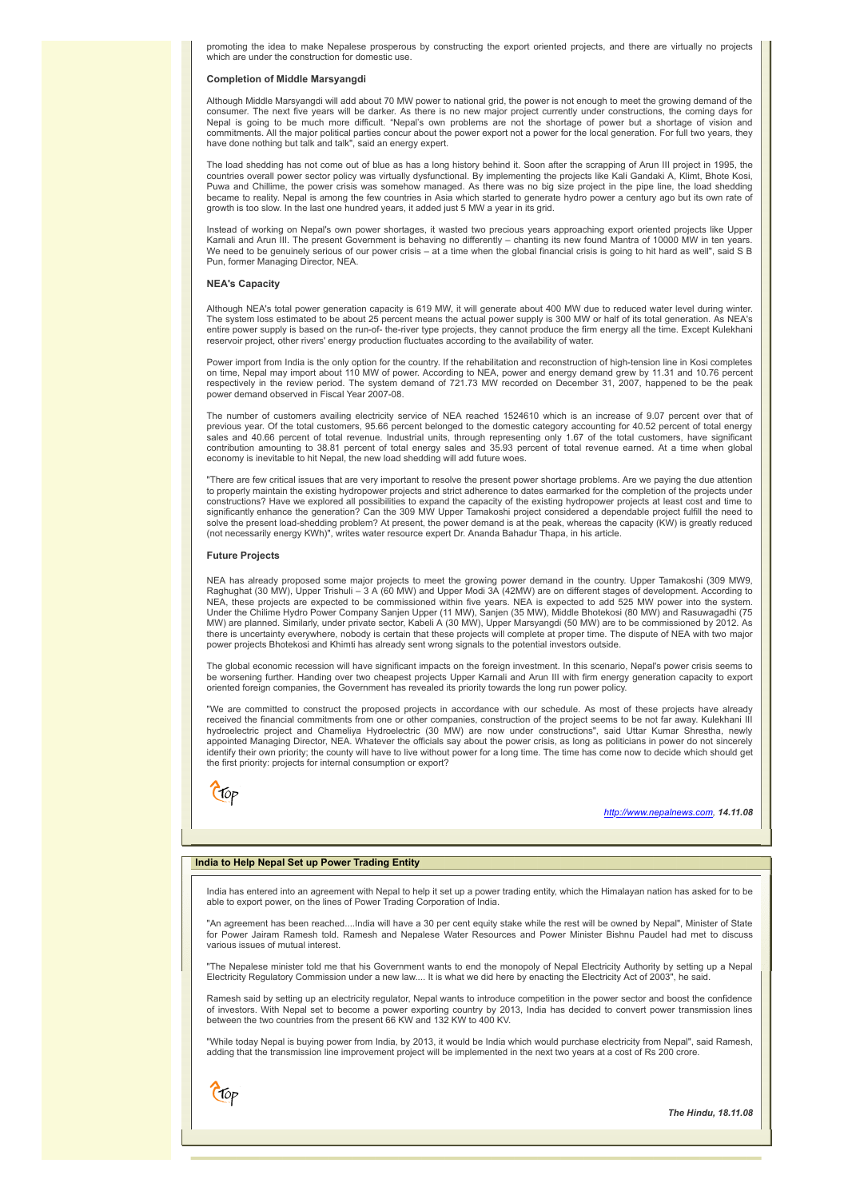promoting the idea to make Nepalese prosperous by constructing the export oriented projects, and there are virtually no projects which are under the construction for domestic use.

### **Completion of Middle Marsyangdi**

Although Middle Marsyangdi will add about 70 MW power to national grid, the power is not enough to meet the growing demand of the consumer. The next five years will be darker. As there is no new major project currently under constructions, the coming days for Nepal is going to be much more difficult. "Nepal's own problems are not the shortage of power but a shortage of vision and commitments. All the major political parties concur about the power export not a power for the local generation. For full two years, they have done nothing but talk and talk", said an energy expert.

The load shedding has not come out of blue as has a long history behind it. Soon after the scrapping of Arun III project in 1995, the countries overall power sector policy was virtually dysfunctional. By implementing the projects like Kali Gandaki A, Klimt, Bhote Kosi, Puwa and Chillime, the power crisis was somehow managed. As there was no big size project in the pipe line, the load shedding<br>became to reality. Nepal is among the few countries in Asia which started to generate hydro powe growth is too slow. In the last one hundred years, it added just 5 MW a year in its grid.

Instead of working on Nepal's own power shortages, it wasted two precious years approaching export oriented projects like Upper<br>Karnali and Arun III. The present Government is behaving no differently – chanting its new fou Pun, former Managing Director, NEA.

### **NEA's Capacity**

Although NEA's total power generation capacity is 619 MW, it will generate about 400 MW due to reduced water level during winter. The system loss estimated to be about 25 percent means the actual power supply is 300 MW or half of its total generation. As NEA's entire power supply is based on the run-of- the-river type projects, they cannot produce the firm energy all the time. Except Kulekhani<br>reservoir project, other rivers' energy production fluctuates according to the availab

Power import from India is the only option for the country. If the rehabilitation and reconstruction of high-tension line in Kosi completes<br>on time, Nepal may import about 110 MW of power. According to NEA, power and energ respectively in the review period. The system demand of 721.73 MW recorded on December 31, 2007, happened to be the peak power demand observed in Fiscal Year 2007-08.

The number of customers availing electricity service of NEA reached 1524610 which is an increase of 9.07 percent over that of previous year. Of the total customers, 95.66 percent belonged to the domestic category accounting for 40.52 percent of total energy<br>sales and 40.66 percent of total revenue. Industrial units, through representing only 1.67 economy is inevitable to hit Nepal, the new load shedding will add future woes.

"There are few critical issues that are very important to resolve the present power shortage problems. Are we paying the due attention to properly maintain the existing hydropower projects and strict adherence to dates earmarked for the completion of the projects under constructions? Have we explored all possibilities to expand the capacity of the existing hydropower projects at least cost and time to<br>significantly enhance the generation? Can the 309 MW Upper Tamakoshi project considered solve the present load-shedding problem? At present, the power demand is at the peak, whereas the capacity (KW) is greatly reduced (not necessarily energy KWh)", writes water resource expert Dr. Ananda Bahadur Thapa, in his article.

# **Future Projects**

NEA has already proposed some major projects to meet the growing power demand in the country. Upper Tamakoshi (309 MW9,<br>Raghughat (30 MW), Upper Trishuli – 3 A (60 MW) and Upper Modi 3A (42MW) are on different stages of de NEA, these projects are expected to be commissioned within five years. NEA is expected to add 525 MW power into the system.<br>Under the Chilime Hydro Power Company Sanjen Upper (11 MW), Sanjen (35 MW), Middle Bhotekosi (80 M MW) are planned. Similarly, under private sector, Kabeli A (30 MW), Upper Marsyangdi (50 MW) are to be commissioned by 2012. As there is uncertainty everywhere, nobody is certain that these projects will complete at proper time. The dispute of NEA with two major power projects Bhotekosi and Khimti has already sent wrong signals to the potential investors outside.

The global economic recession will have significant impacts on the foreign investment. In this scenario, Nepal's power crisis seems to be worsening further. Handing over two cheapest projects Upper Karnali and Arun III with firm energy generation capacity to export oriented foreign companies, the Government has revealed its priority towards the long run power policy.

"We are committed to construct the proposed projects in accordance with our schedule. As most of these projects have already<br>received the financial commitments from one or other companies, construction of the project seems hydroelectric project and Chameliya Hydroelectric (30 MW) are now under constructions", said Uttar Kumar Shrestha, newly<br>appointed Managing Director, NEA. Whatever the officials say about the power crisis, as long as polit identify their own priority; the county will have to live without power for a long time. The time has come now to decide which should get the first priority: projects for internal consumption or export?



<span id="page-3-1"></span>Ctop

### *[http://www.nepalnews.com,](http://www.nepalnews.com/) 14.11.08*

# <span id="page-3-0"></span>**India to Help Nepal Set up Power Trading Entity**

India has entered into an agreement with Nepal to help it set up a power trading entity, which the Himalayan nation has asked for to be able to export power, on the lines of Power Trading Corporation of India.

"An agreement has been reached....India will have a 30 per cent equity stake while the rest will be owned by Nepal", Minister of State for Power Jairam Ramesh told. Ramesh and Nepalese Water Resources and Power Minister Bishnu Paudel had met to discuss various issues of mutual interest.

"The Nepalese minister told me that his Government wants to end the monopoly of Nepal Electricity Authority by setting up a Nepal Electricity Regulatory Commission under a new law.... It is what we did here by enacting the Electricity Act of 2003", he said.

Ramesh said by setting up an electricity regulator, Nepal wants to introduce competition in the power sector and boost the confidence of investors. With Nepal set to become a power exporting country by 2013, India has decided to convert power transmission lines between the two countries from the present 66 KW and 132 KW to 400 KV.

"While today Nepal is buying power from India, by 2013, it would be India which would purchase electricity from Nepal", said Ramesh, adding that the transmission line improvement project will be implemented in the next two years at a cost of Rs 200 crore.

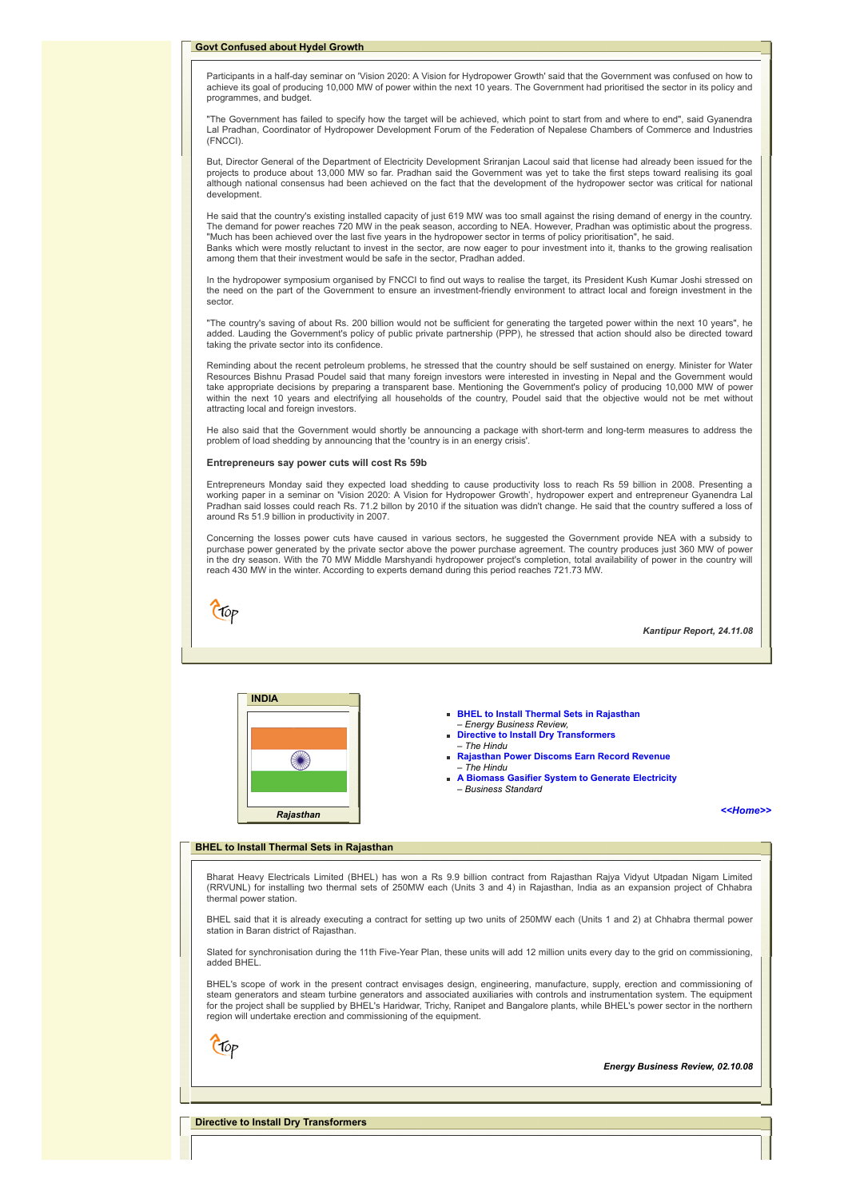Participants in a half-day seminar on 'Vision 2020: A Vision for Hydropower Growth' said that the Government was confused on how to achieve its goal of producing 10,000 MW of power within the next 10 years. The Government had prioritised the sector in its policy and programmes, and budget.

"The Government has failed to specify how the target will be achieved, which point to start from and where to end", said Gyanendra Lal Pradhan, Coordinator of Hydropower Development Forum of the Federation of Nepalese Chambers of Commerce and Industries (FNCCI).

But, Director General of the Department of Electricity Development Sriranjan Lacoul said that license had already been issued for the projects to produce about 13,000 MW so far. Pradhan said the Government was yet to take the first steps toward realising its goal although national consensus had been achieved on the fact that the development of the hydropower sector was critical for national development.

He said that the country's existing installed capacity of just 619 MW was too small against the rising demand of energy in the country. The demand for power reaches 720 MW in the peak season, according to NEA. However, Pradhan was optimistic about the progress.<br>"Much has been achieved over the last five years in the hydropower sector in terms of policy pri Banks which were mostly reluctant to invest in the sector, are now eager to pour investment into it, thanks to the growing realisation among them that their investment would be safe in the sector, Pradhan added.

In the hydropower symposium organised by FNCCI to find out ways to realise the target, its President Kush Kumar Joshi stressed on the need on the part of the Government to ensure an investment-friendly environment to attract local and foreign investment in the sector.

"The country's saving of about Rs. 200 billion would not be sufficient for generating the targeted power within the next 10 years", he added. Lauding the Government's policy of public private partnership (PPP), he stressed that action should also be directed toward taking the private sector into its confidence.

Reminding about the recent petroleum problems, he stressed that the country should be self sustained on energy. Minister for Water Resources Bishnu Prasad Poudel said that many foreign investors were interested in investing in Nepal and the Government would take appropriate decisions by preparing a transparent base. Mentioning the Government's policy of producing 10,000 MW of power within the next 10 years and electrifying all households of the country, Poudel said that the objective would not be met without attracting local and foreign investors.

He also said that the Government would shortly be announcing a package with short-term and long-term measures to address the problem of load shedding by announcing that the 'country is in an energy crisis'.

### **Entrepreneurs say power cuts will cost Rs 59b**

Entrepreneurs Monday said they expected load shedding to cause productivity loss to reach Rs 59 billion in 2008. Presenting a<br>working paper in a seminar on 'Vision 2020: A Vision for Hydropower Growth', hydropower expert a Pradhan said losses could reach Rs. 71.2 billon by 2010 if the situation was didn't change. He said that the country suffered a loss of around Rs 51.9 billion in productivity in 2007.

Concerning the losses power cuts have caused in various sectors, he suggested the Government provide NEA with a subsidy to<br>purchase power generated by the private sector above the power purchase agreement. The country prod in the dry season. With the 70 MW Middle Marshyandi hydropower project's completion, total availability of power in the country will reach 430 MW in the winter. According to experts demand during this period reaches 721.73 MW.



*Kantipur Report, 24.11.08*



- **BHEL to Install Thermal Sets in Rajasthan** – *Energy Business Review,*
- **[Directive to Install Dry Transformers](#page-4-1)**
- *The Hindu*
- **[Rajasthan Power Discoms Earn Record Revenue](#page-5-0)** – *The Hindu*
- **[A Biomass Gasifier System to Generate Electricity](#page-5-1)** *– Business Standard*

### *[<<Home>>](file:///D:/KSH/Websites/RESA/RESA-Enews-III.htm)*

# <span id="page-4-0"></span>**BHEL to Install Thermal Sets in Rajasthan**

Bharat Heavy Electricals Limited (BHEL) has won a Rs 9.9 billion contract from Rajasthan Rajya Vidyut Utpadan Nigam Limited (RRVUNL) for installing two thermal sets of 250MW each (Units 3 and 4) in Rajasthan, India as an expansion project of Chhabra thermal power station.

BHEL said that it is already executing a contract for setting up two units of 250MW each (Units 1 and 2) at Chhabra thermal power station in Baran district of Rajasthan.

Slated for synchronisation during the 11th Five-Year Plan, these units will add 12 million units every day to the grid on commissioning. added BHEL.

BHEL's scope of work in the present contract envisages design, engineering, manufacture, supply, erection and commissioning of steam generators and steam turbine generators and associated auxiliaries with controls and instrumentation system. The equipment for the project shall be supplied by BHEL's Haridwar, Trichy, Ranipet and Bangalore plants, while BHEL's power sector in the northern region will undertake erection and commissioning of the equipment.

*Energy Business Review, 02.10.08*

<span id="page-4-1"></span>**Directive to Install Dry Transformers**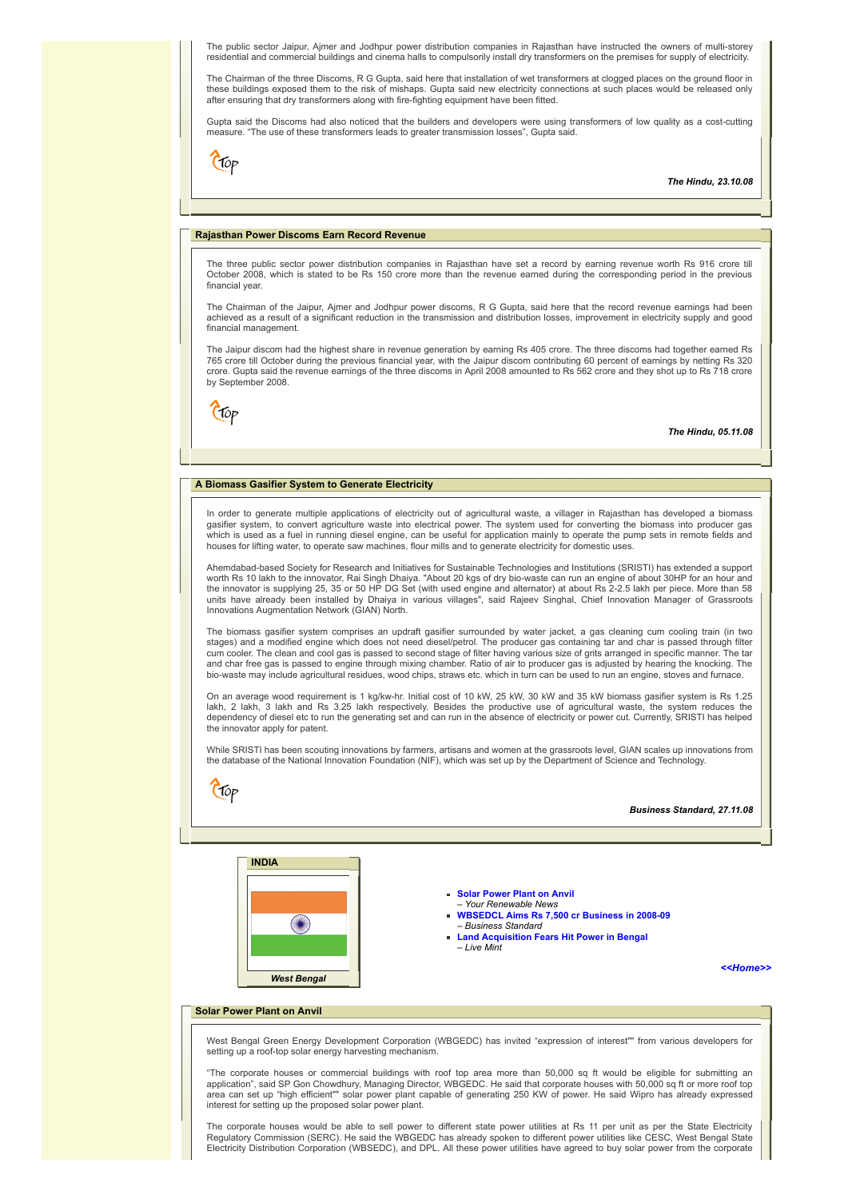The public sector Jaipur, Ajmer and Jodhpur power distribution companies in Rajasthan have instructed the owners of multi-storey residential and commercial buildings and cinema halls to compulsorily install dry transformers on the premises for supply of electricity.

The Chairman of the three Discoms, R G Gupta, said here that installation of wet transformers at clogged places on the ground floor in these buildings exposed them to the risk of mishaps. Gupta said new electricity connections at such places would be released only after ensuring that dry transformers along with fire-fighting equipment have been fitted.

Gupta said the Discoms had also noticed that the builders and developers were using transformers of low quality as a cost-cutting measure. "The use of these transformers leads to greater transmission losses", Gupta said.

 $C$ fop

*The Hindu, 23.10.08*

# <span id="page-5-0"></span>**Rajasthan Power Discoms Earn Record Revenue**

The three public sector power distribution companies in Rajasthan have set a record by earning revenue worth Rs 916 crore till October 2008, which is stated to be Rs 150 crore more than the revenue earned during the corresponding period in the previous financial year.

The Chairman of the Jaipur, Ajmer and Jodhpur power discoms, R G Gupta, said here that the record revenue earnings had been achieved as a result of a significant reduction in the transmission and distribution losses, improvement in electricity supply and good financial management.

The Jaipur discom had the highest share in revenue generation by earning Rs 405 crore. The three discoms had together earned Rs 765 crore till October during the previous financial year, with the Jaipur discom contributing 60 percent of earnings by netting Rs 320 crore. Gupta said the revenue earnings of the three discoms in April 2008 amounted to Rs 562 crore and they shot up to Rs 718 crore by September 2008.

 $C$ fop

*The Hindu, 05.11.08*

# <span id="page-5-1"></span>**A Biomass Gasifier System to Generate Electricity**

In order to generate multiple applications of electricity out of agricultural waste, a villager in Rajasthan has developed a biomass gasifier system, to convert agriculture waste into electrical power. The system used for converting the biomass into producer gas which is used as a fuel in running diesel engine, can be useful for application mainly to operate the pump sets in remote fields and houses for lifting water, to operate saw machines, flour mills and to generate electricity for domestic uses.

Ahemdabad-based Society for Research and Initiatives for Sustainable Technologies and Institutions (SRISTI) has extended a support worth Rs 10 lakh to the innovator, Rai Singh Dhaiya. "About 20 kgs of dry bio-waste can run an engine of about 30HP for an hour and<br>the innovator is supplying 25, 35 or 50 HP DG Set (with used engine and alternator) at abo Innovations Augmentation Network (GIAN) North.

The biomass gasifier system comprises an updraft gasifier surrounded by water jacket, a gas cleaning cum cooling train (in two stages) and a modified engine which does not need diesel/petrol. The producer gas containing tar and char is passed through filter cum cooler. The clean and cool gas is passed to second stage of filter having various size of grits arranged in specific manner. The tar and char free gas is passed to engine through mixing chamber. Ratio of air to producer gas is adjusted by hearing the knocking. The bio-waste may include agricultural residues, wood chips, straws etc. which in turn can be used to run an engine, stoves and furnace.

On an average wood requirement is 1 kg/kw-hr. Initial cost of 10 kW, 25 kW, 30 kW and 35 kW biomass gasifier system is Rs 1.25 lakh, 2 lakh, 3 lakh and Rs 3.25 lakh respectively. Besides the productive use of agricultural waste, the system reduces the dependency of diesel etc to run the generating set and can run in the absence of electricity or power cut. Currently, SRISTI has helped the innovator apply for patent.

While SRISTI has been scouting innovations by farmers, artisans and women at the grassroots level, GIAN scales up innovations from the database of the National Innovation Foundation (NIF), which was set up by the Department of Science and Technology.

|                                    | <b>Business Standard, 27.11.08</b>                                                                                                                                                                               |
|------------------------------------|------------------------------------------------------------------------------------------------------------------------------------------------------------------------------------------------------------------|
| <b>INDIA</b><br><b>West Bengal</b> | • Solar Power Plant on Anvil<br>- Your Renewable News<br>WBSEDCL Aims Rs 7,500 cr Business in 2008-09<br>- Business Standard<br>Land Acquisition Fears Hit Power in Bengal<br>- Live Mint<br>< <home>&gt;</home> |

# <span id="page-5-2"></span>**Solar Power Plant on Anvil**

West Bengal Green Energy Development Corporation (WBGEDC) has invited "expression of interest"" from various developers for setting up a roof-top solar energy harvesting mechanism.

"The corporate houses or commercial buildings with roof top area more than 50,000 sq ft would be eligible for submitting an application", said SP Gon Chowdhury, Managing Director, WBGEDC. He said that corporate houses with 50,000 sq ft or more roof top area can set up "high efficient"" solar power plant capable of generating 250 KW of power. He said Wipro has already expressed interest for setting up the proposed solar power plant.

The corporate houses would be able to sell power to different state power utilities at Rs 11 per unit as per the State Electricity Regulatory Commission (SERC). He said the WBGEDC has already spoken to different power utilities like CESC, West Bengal State Electricity Distribution Corporation (WBSEDC), and DPL. All these power utilities have agreed to buy solar power from the corporate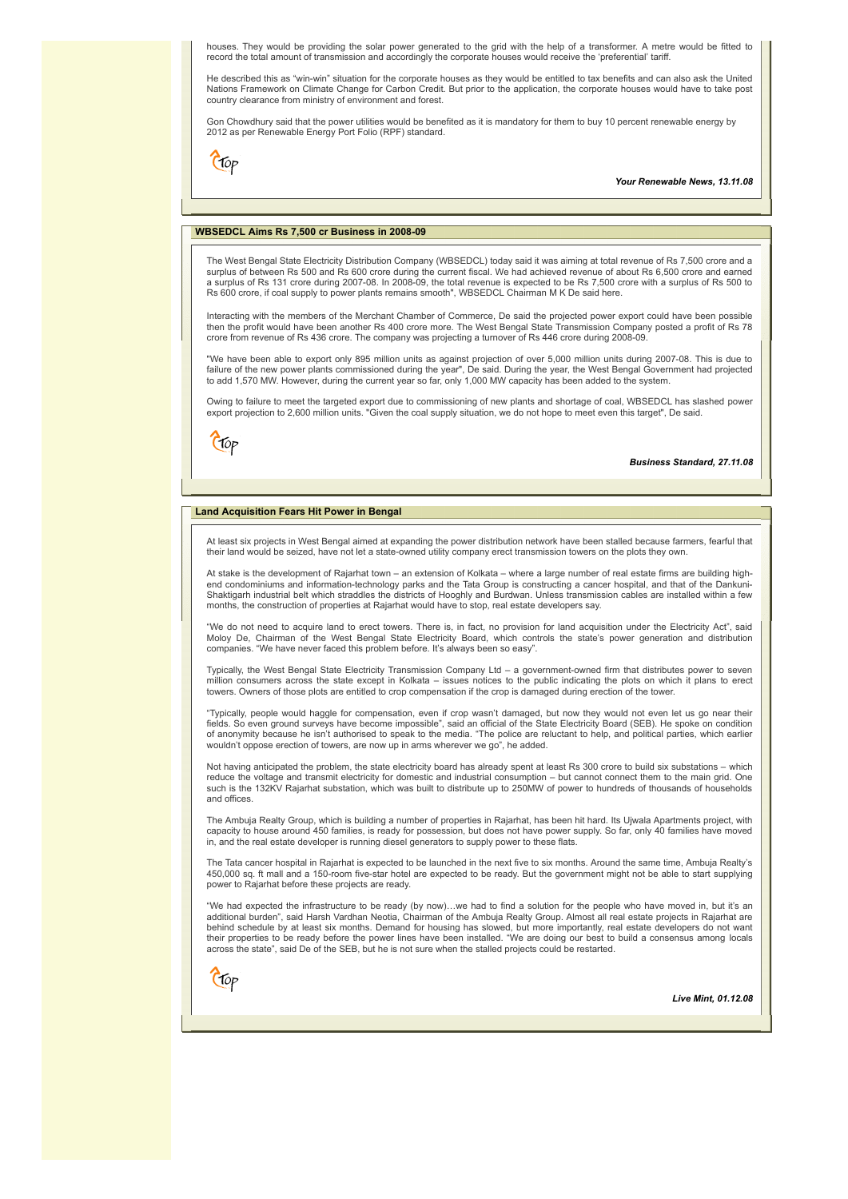houses. They would be providing the solar power generated to the grid with the help of a transformer. A metre would be fitted to record the total amount of transmission and accordingly the corporate houses would receive the 'preferential' tariff.

He described this as "win-win" situation for the corporate houses as they would be entitled to tax benefits and can also ask the United Nations Framework on Climate Change for Carbon Credit. But prior to the application, the corporate houses would have to take post country clearance from ministry of environment and forest.

Gon Chowdhury said that the power utilities would be benefited as it is mandatory for them to buy 10 percent renewable energy by 2012 as per Renewable Energy Port Folio (RPF) standard.

 $C$ fop

### *Your Renewable News, 13.11.08*

# <span id="page-6-0"></span>**WBSEDCL Aims Rs 7,500 cr Business in 2008-09**

The West Bengal State Electricity Distribution Company (WBSEDCL) today said it was aiming at total revenue of Rs 7,500 crore and a surplus of between Rs 500 and Rs 600 crore during the current fiscal. We had achieved revenue of about Rs 6,500 crore and earned a surplus of Rs 131 crore during 2007-08. In 2008-09, the total revenue is expected to be Rs 7,500 crore with a surplus of Rs 500 to Rs 600 crore, if coal supply to power plants remains smooth", WBSEDCL Chairman M K De said here.

Interacting with the members of the Merchant Chamber of Commerce, De said the projected power export could have been possible then the profit would have been another Rs 400 crore more. The West Bengal State Transmission Company posted a profit of Rs 78 crore from revenue of Rs 436 crore. The company was projecting a turnover of Rs 446 crore during 2008-09.

"We have been able to export only 895 million units as against projection of over 5,000 million units during 2007-08. This is due to<br>failure of the new power plants commissioned during the year", De said. During the year,

Owing to failure to meet the targeted export due to commissioning of new plants and shortage of coal, WBSEDCL has slashed power export projection to 2,600 million units. "Given the coal supply situation, we do not hope to meet even this target", De said.



### *Business Standard, 27.11.08*

## <span id="page-6-1"></span>**Land Acquisition Fears Hit Power in Bengal**

At least six projects in West Bengal aimed at expanding the power distribution network have been stalled because farmers, fearful that their land would be seized, have not let a state-owned utility company erect transmission towers on the plots they own.

At stake is the development of Rajarhat town – an extension of Kolkata – where a large number of real estate firms are building highend condominiums and information-technology parks and the Tata Group is constructing a cancer hospital, and that of the Dankuni-Shaktigarh industrial belt which straddles the districts of Hooghly and Burdwan. Unless transmission cables are installed within a few months, the construction of properties at Rajarhat would have to stop, real estate developers say.

"We do not need to acquire land to erect towers. There is, in fact, no provision for land acquisition under the Electricity Act", said Moloy De, Chairman of the West Bengal State Electricity Board, which controls the state's power generation and distribution companies. "We have never faced this problem before. It's always been so easy".

Typically, the West Bengal State Electricity Transmission Company Ltd – a government-owned firm that distributes power to seven million consumers across the state except in Kolkata – issues notices to the public indicating the plots on which it plans to erect towers. Owners of those plots are entitled to crop compensation if the crop is damaged during erection of the tower.

"Typically, people would haggle for compensation, even if crop wasn't damaged, but now they would not even let us go near their<br>fields. So even ground surveys have become impossible", said an official of the State Electric of anonymity because he isn't authorised to speak to the media. "The police are reluctant to help, and political parties, which earlier wouldn't oppose erection of towers, are now up in arms wherever we go", he added.

Not having anticipated the problem, the state electricity board has already spent at least Rs 300 crore to build six substations – which reduce the voltage and transmit electricity for domestic and industrial consumption – but cannot connect them to the main grid. One<br>such is the 132KV Rajarhat substation, which was built to distribute up to 250MW of power and offices.

The Ambuja Realty Group, which is building a number of properties in Rajarhat, has been hit hard. Its Ujwala Apartments project, with capacity to house around 450 families, is ready for possession, but does not have power supply. So far, only 40 families have moved in, and the real estate developer is running diesel generators to supply power to these flats.

The Tata cancer hospital in Rajarhat is expected to be launched in the next five to six months. Around the same time, Ambuja Realty's 450,000 sq. ft mall and a 150-room five-star hotel are expected to be ready. But the government might not be able to start supplying power to Rajarhat before these projects are ready.

"We had expected the infrastructure to be ready (by now)…we had to find a solution for the people who have moved in, but it's an additional burden", said Harsh Vardhan Neotia, Chairman of the Ambuja Realty Group. Almost all real estate projects in Rajarhat are<br>behind schedule by at least six months. Demand for housing has slowed, but more importantl their properties to be ready before the power lines have been installed. "We are doing our best to build a consensus among locals across the state", said De of the SEB, but he is not sure when the stalled projects could be restarted.



*Live Mint, 01.12.08*